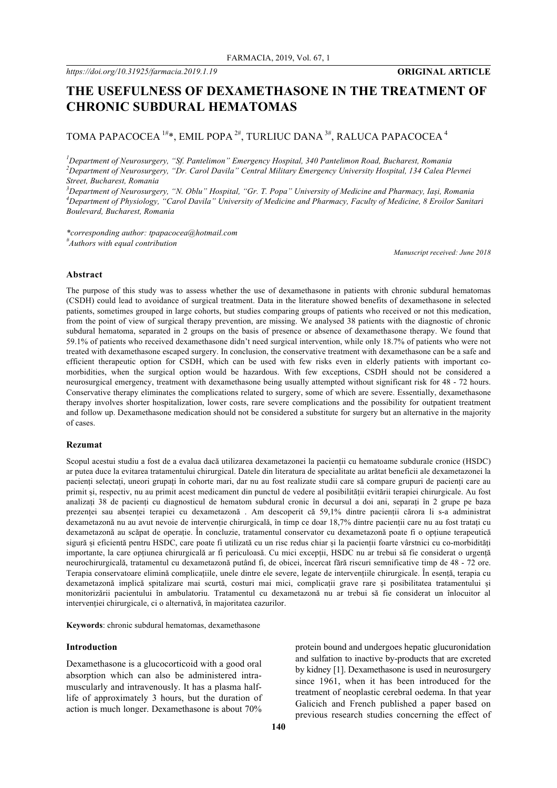# **THE USEFULNESS OF DEXAMETHASONE IN THE TREATMENT OF CHRONIC SUBDURAL HEMATOMAS**

# TOMA PAPACOCEA<sup>1#\*</sup>, EMIL POPA<sup>2#</sup>, TURLIUC DANA<sup>3#</sup>, RALUCA PAPACOCEA<sup>4</sup>

*1 Department of Neurosurgery, "Sf. Pantelimon" Emergency Hospital, 340 Pantelimon Road, Bucharest, Romania 2 Department of Neurosurgery, "Dr. Carol Davila" Central Military Emergency University Hospital, 134 Calea Plevnei Street, Bucharest, Romania*

*3 Department of Neurosurgery, "N. Oblu" Hospital, "Gr. T. Popa" University of Medicine and Pharmacy, Iași, Romania 4 Department of Physiology, "Carol Davila" University of Medicine and Pharmacy, Faculty of Medicine, 8 Eroilor Sanitari Boulevard, Bucharest, Romania*

*\*corresponding author: tpapacocea@hotmail.com # Authors with equal contribution*

*Manuscript received: June 2018*

# **Abstract**

The purpose of this study was to assess whether the use of dexamethasone in patients with chronic subdural hematomas (CSDH) could lead to avoidance of surgical treatment. Data in the literature showed benefits of dexamethasone in selected patients, sometimes grouped in large cohorts, but studies comparing groups of patients who received or not this medication, from the point of view of surgical therapy prevention, are missing. We analysed 38 patients with the diagnostic of chronic subdural hematoma, separated in 2 groups on the basis of presence or absence of dexamethasone therapy. We found that 59.1% of patients who received dexamethasone didn't need surgical intervention, while only 18.7% of patients who were not treated with dexamethasone escaped surgery. In conclusion, the conservative treatment with dexamethasone can be a safe and efficient therapeutic option for CSDH, which can be used with few risks even in elderly patients with important comorbidities, when the surgical option would be hazardous. With few exceptions, CSDH should not be considered a neurosurgical emergency, treatment with dexamethasone being usually attempted without significant risk for 48 - 72 hours. Conservative therapy eliminates the complications related to surgery, some of which are severe. Essentially, dexamethasone therapy involves shorter hospitalization, lower costs, rare severe complications and the possibility for outpatient treatment and follow up. Dexamethasone medication should not be considered a substitute for surgery but an alternative in the majority of cases.

### **Rezumat**

Scopul acestui studiu a fost de a evalua dacă utilizarea dexametazonei la pacienții cu hematoame subdurale cronice (HSDC) ar putea duce la evitarea tratamentului chirurgical. Datele din literatura de specialitate au arătat beneficii ale dexametazonei la pacienți selectați, uneori grupați în cohorte mari, dar nu au fost realizate studii care să compare grupuri de pacienți care au primit și, respectiv, nu au primit acest medicament din punctul de vedere al posibilității evitării terapiei chirurgicale. Au fost analizați 38 de pacienți cu diagnosticul de hematom subdural cronic în decursul a doi ani, separați în 2 grupe pe baza prezenței sau absenței terapiei cu dexametazonă . Am descoperit că 59,1% dintre pacienții cărora li s-a administrat dexametazonă nu au avut nevoie de intervenție chirurgicală, în timp ce doar 18,7% dintre pacienții care nu au fost tratați cu dexametazonă au scăpat de operație. În concluzie, tratamentul conservator cu dexametazonă poate fi o opțiune terapeutică sigură și eficientă pentru HSDC, care poate fi utilizată cu un risc redus chiar și la pacienții foarte vârstnici cu co-morbidități importante, la care opțiunea chirurgicală ar fi periculoasă. Cu mici excepții, HSDC nu ar trebui să fie considerat o urgență neurochirurgicală, tratamentul cu dexametazonă putând fi, de obicei, încercat fără riscuri semnificative timp de 48 - 72 ore. Terapia conservatoare elimină complicațiile, unele dintre ele severe, legate de intervențiile chirurgicale. În esență, terapia cu dexametazonă implică spitalizare mai scurtă, costuri mai mici, complicații grave rare și posibilitatea tratamentului și monitorizării pacientului în ambulatoriu. Tratamentul cu dexametazonă nu ar trebui să fie considerat un înlocuitor al intervenției chirurgicale, ci o alternativă, în majoritatea cazurilor.

**Keywords**: chronic subdural hematomas, dexamethasone

#### **Introduction**

Dexamethasone is a glucocorticoid with a good oral absorption which can also be administered intramuscularly and intravenously. It has a plasma halflife of approximately 3 hours, but the duration of action is much longer. Dexamethasone is about 70% protein bound and undergoes hepatic glucuronidation and sulfation to inactive by-products that are excreted by kidney [1]. Dexamethasone is used in neurosurgery since 1961, when it has been introduced for the treatment of neoplastic cerebral oedema. In that year Galicich and French published a paper based on previous research studies concerning the effect of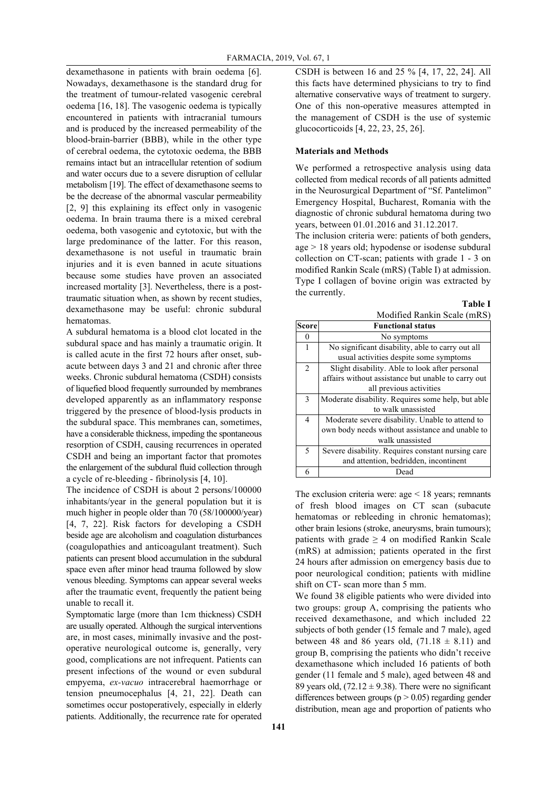dexamethasone in patients with brain oedema [6]. Nowadays, dexamethasone is the standard drug for the treatment of tumour-related vasogenic cerebral oedema [16, 18]. The vasogenic oedema is typically encountered in patients with intracranial tumours and is produced by the increased permeability of the blood-brain-barrier (BBB), while in the other type of cerebral oedema, the cytotoxic oedema, the BBB remains intact but an intracellular retention of sodium and water occurs due to a severe disruption of cellular metabolism [19]. The effect of dexamethasone seems to be the decrease of the abnormal vascular permeability [2, 9] this explaining its effect only in vasogenic oedema. In brain trauma there is a mixed cerebral oedema, both vasogenic and cytotoxic, but with the large predominance of the latter. For this reason, dexamethasone is not useful in traumatic brain injuries and it is even banned in acute situations because some studies have proven an associated increased mortality [3]. Nevertheless, there is a posttraumatic situation when, as shown by recent studies, dexamethasone may be useful: chronic subdural hematomas.

A subdural hematoma is a blood clot located in the subdural space and has mainly a traumatic origin. It is called acute in the first 72 hours after onset, subacute between days 3 and 21 and chronic after three weeks. Chronic subdural hematoma (CSDH) consists of liquefied blood frequently surrounded by membranes developed apparently as an inflammatory response triggered by the presence of blood-lysis products in the subdural space. This membranes can, sometimes, have a considerable thickness, impeding the spontaneous resorption of CSDH, causing recurrences in operated CSDH and being an important factor that promotes the enlargement of the subdural fluid collection through a cycle of re-bleeding - fibrinolysis [4, 10].

The incidence of CSDH is about 2 persons/100000 inhabitants/year in the general population but it is much higher in people older than 70 (58/100000/year) [4, 7, 22]. Risk factors for developing a CSDH beside age are alcoholism and coagulation disturbances (coagulopathies and anticoagulant treatment). Such patients can present blood accumulation in the subdural space even after minor head trauma followed by slow venous bleeding. Symptoms can appear several weeks after the traumatic event, frequently the patient being unable to recall it.

Symptomatic large (more than 1cm thickness) CSDH are usually operated. Although the surgical interventions are, in most cases, minimally invasive and the postoperative neurological outcome is, generally, very good, complications are not infrequent. Patients can present infections of the wound or even subdural empyema, *ex-vacuo* intracerebral haemorrhage or tension pneumocephalus [4, 21, 22]. Death can sometimes occur postoperatively, especially in elderly patients. Additionally, the recurrence rate for operated

CSDH is between 16 and 25 % [4, 17, 22, 24]. All this facts have determined physicians to try to find alternative conservative ways of treatment to surgery. One of this non-operative measures attempted in the management of CSDH is the use of systemic glucocorticoids [4, 22, 23, 25, 26].

#### **Materials and Methods**

We performed a retrospective analysis using data collected from medical records of all patients admitted in the Neurosurgical Department of "Sf. Pantelimon" Emergency Hospital, Bucharest, Romania with the diagnostic of chronic subdural hematoma during two years, between 01.01.2016 and 31.12.2017.

The inclusion criteria were: patients of both genders, age > 18 years old; hypodense or isodense subdural collection on CT-scan; patients with grade 1 - 3 on modified Rankin Scale (mRS) (Table I) at admission. Type I collagen of bovine origin was extracted by the currently.

|                | <b>Table I</b>                                     |
|----------------|----------------------------------------------------|
|                | Modified Rankin Scale (mRS)                        |
| <b>Score</b>   | <b>Functional status</b>                           |
| 0              | No symptoms                                        |
| 1              | No significant disability, able to carry out all   |
|                | usual activities despite some symptoms             |
| $\overline{2}$ | Slight disability. Able to look after personal     |
|                | affairs without assistance but unable to carry out |
|                | all previous activities                            |
| 3              | Moderate disability. Requires some help, but able  |
|                | to walk unassisted                                 |
| 4              | Moderate severe disability. Unable to attend to    |
|                | own body needs without assistance and unable to    |
|                | walk unassisted                                    |
| 5              | Severe disability. Requires constant nursing care  |
|                | and attention, bedridden, incontinent              |
| 6              | Dead                                               |

The exclusion criteria were: age  $\leq 18$  years; remnants of fresh blood images on CT scan (subacute hematomas or rebleeding in chronic hematomas); other brain lesions (stroke, aneurysms, brain tumours); patients with grade  $\geq$  4 on modified Rankin Scale (mRS) at admission; patients operated in the first 24 hours after admission on emergency basis due to poor neurological condition; patients with midline shift on CT- scan more than 5 mm.

We found 38 eligible patients who were divided into two groups: group A, comprising the patients who received dexamethasone, and which included 22 subjects of both gender (15 female and 7 male), aged between 48 and 86 years old,  $(71.18 \pm 8.11)$  and group B, comprising the patients who didn't receive dexamethasone which included 16 patients of both gender (11 female and 5 male), aged between 48 and 89 years old,  $(72.12 \pm 9.38)$ . There were no significant differences between groups ( $p > 0.05$ ) regarding gender distribution, mean age and proportion of patients who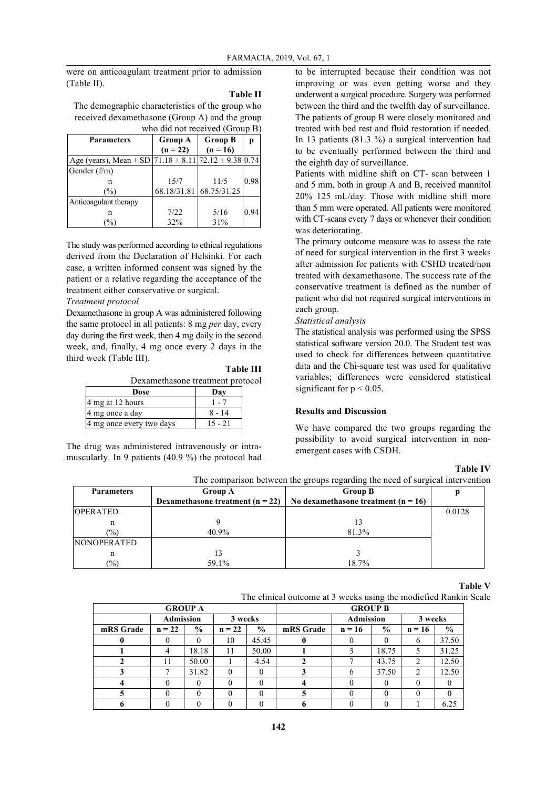were on anticoagulant treatment prior to admission (Table II).

#### **Table II**

The demographic characteristics of the group who received dexamethasone (Group A) and the group who did not received (Group B)

| <b>Parameters</b>                                                       | <b>Group A</b> | <b>Group B</b>          | р    |  |  |  |  |  |
|-------------------------------------------------------------------------|----------------|-------------------------|------|--|--|--|--|--|
|                                                                         | $(n = 22)$     | $(n = 16)$              |      |  |  |  |  |  |
| Age (years), Mean $\pm$ SD   71.18 $\pm$ 8.11   72.12 $\pm$ 9.38   0.74 |                |                         |      |  |  |  |  |  |
| Gender (f/m)                                                            |                |                         |      |  |  |  |  |  |
| n                                                                       | 15/7           | 11/5                    | 0.98 |  |  |  |  |  |
| $\frac{9}{0}$                                                           |                | 68.18/31.81 68.75/31.25 |      |  |  |  |  |  |
| Anticoagulant therapy                                                   |                |                         |      |  |  |  |  |  |
| n                                                                       | 7/22           | 5/16                    | 0.94 |  |  |  |  |  |
| $\sqrt{6}$                                                              | 32%            | 31%                     |      |  |  |  |  |  |

The study was performed according to ethical regulations derived from the Declaration of Helsinki. For each case, a written informed consent was signed by the patient or a relative regarding the acceptance of the treatment either conservative or surgical.

# *Treatment protocol*

Dexamethasone in group A was administered following the same protocol in all patients: 8 mg *per* day, every day during the first week, then 4 mg daily in the second week, and, finally, 4 mg once every 2 days in the third week (Table III).

**Table III** Dexamethasone treatment protocol

| Dose                     | Day      |
|--------------------------|----------|
| 4 mg at 12 hours         |          |
| 4 mg once a day          | $8 - 14$ |
| 4 mg once every two days | 15 - 21  |

The drug was administered intravenously or intramuscularly. In 9 patients (40.9 %) the protocol had to be interrupted because their condition was not improving or was even getting worse and they underwent a surgical procedure. Surgery was performed between the third and the twelfth day of surveillance. The patients of group B were closely monitored and treated with bed rest and fluid restoration if needed. In 13 patients (81.3 %) a surgical intervention had to be eventually performed between the third and the eighth day of surveillance.

Patients with midline shift on CT- scan between 1 and 5 mm, both in group A and B, received mannitol 20% 125 mL/day. Those with midline shift more than 5 mm were operated. All patients were monitored with CT-scans every 7 days or whenever their condition was deteriorating.

The primary outcome measure was to assess the rate of need for surgical intervention in the first 3 weeks after admission for patients with CSHD treated/non treated with dexamethasone. The success rate of the conservative treatment is defined as the number of patient who did not required surgical interventions in each group.

#### *Statistical analysis*

The statistical analysis was performed using the SPSS statistical software version 20.0. The Student test was used to check for differences between quantitative data and the Chi-square test was used for qualitative variables; differences were considered statistical significant for  $p < 0.05$ .

# **Results and Discussion**

We have compared the two groups regarding the possibility to avoid surgical intervention in nonemergent cases with CSDH.

# **Table IV**

| The comparison between the groups regarding the need of surgical intervention |                                    |                                       |        |  |  |  |
|-------------------------------------------------------------------------------|------------------------------------|---------------------------------------|--------|--|--|--|
| <b>Parameters</b>                                                             | <b>Group A</b>                     |                                       |        |  |  |  |
|                                                                               | Dexamethasone treatment $(n = 22)$ | No dexamethasone treatment $(n = 16)$ |        |  |  |  |
| <b>OPERATED</b>                                                               |                                    |                                       | 0.0128 |  |  |  |
|                                                                               |                                    |                                       |        |  |  |  |
| $\frac{1}{2}$                                                                 | 40.9%                              | 81.3%                                 |        |  |  |  |
| <b>NONOPERATED</b>                                                            |                                    |                                       |        |  |  |  |
| n                                                                             | 13                                 |                                       |        |  |  |  |
| $\frac{9}{0}$                                                                 | 59.1%                              | 18.7%                                 |        |  |  |  |

#### **Table V**

The clinical outcome at 3 weeks using the modiefied Rankin Scale

| <b>GROUP A</b> |          |               |          |                  | <b>GROUP B</b> |              |               |          |               |         |  |
|----------------|----------|---------------|----------|------------------|----------------|--------------|---------------|----------|---------------|---------|--|
|                |          | Admission     |          | <b>Admission</b> |                | 3 weeks      |               |          |               | 3 weeks |  |
| mRS Grade      | $n = 22$ | $\frac{0}{0}$ | $n = 22$ | $\%$             | mRS Grade      | $n = 16$     | $\frac{6}{9}$ | $n = 16$ | $\frac{6}{9}$ |         |  |
|                |          |               | 10       | 45.45            |                |              |               |          | 37.50         |         |  |
|                |          | 18.18         | 11       | 50.00            |                |              | 18.75         |          | 31.25         |         |  |
|                |          | 50.00         |          | 4.54             |                |              | 43.75         | າ        | 12.50         |         |  |
|                |          | 31.82         |          |                  |                | <sub>t</sub> | 37.50         | 2        | 12.50         |         |  |
|                |          |               |          |                  |                |              |               |          |               |         |  |
|                |          |               |          |                  |                |              |               |          |               |         |  |
|                |          |               |          |                  |                |              |               |          | 6.25          |         |  |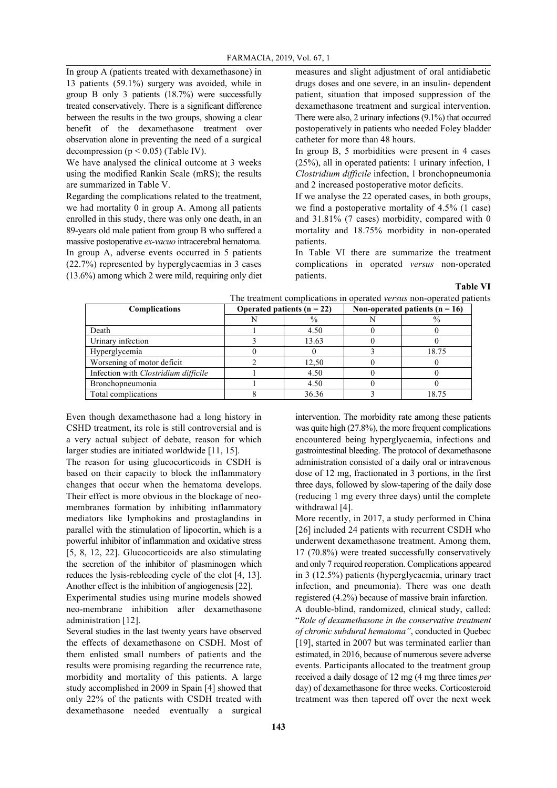In group A (patients treated with dexamethasone) in 13 patients (59.1%) surgery was avoided, while in group B only 3 patients (18.7%) were successfully treated conservatively. There is a significant difference between the results in the two groups, showing a clear benefit of the dexamethasone treatment over observation alone in preventing the need of a surgical decompression ( $p < 0.05$ ) (Table IV).

We have analysed the clinical outcome at 3 weeks using the modified Rankin Scale (mRS); the results are summarized in Table V.

Regarding the complications related to the treatment, we had mortality 0 in group A. Among all patients enrolled in this study, there was only one death, in an 89-years old male patient from group B who suffered a massive postoperative *ex-vacuo* intracerebral hematoma. In group A, adverse events occurred in 5 patients (22.7%) represented by hyperglycaemias in 3 cases (13.6%) among which 2 were mild, requiring only diet measures and slight adjustment of oral antidiabetic drugs doses and one severe, in an insulin- dependent patient, situation that imposed suppression of the dexamethasone treatment and surgical intervention. There were also, 2 urinary infections (9.1%) that occurred postoperatively in patients who needed Foley bladder catheter for more than 48 hours.

In group B, 5 morbidities were present in 4 cases (25%), all in operated patients: 1 urinary infection, 1 *Clostridium difficile* infection, 1 bronchopneumonia and 2 increased postoperative motor deficits.

If we analyse the 22 operated cases, in both groups, we find a postoperative mortality of 4.5% (1 case) and 31.81% (7 cases) morbidity, compared with 0 mortality and 18.75% morbidity in non-operated patients.

In Table VI there are summarize the treatment complications in operated *versus* non-operated patients.

**Table VI**

| <b>Complications</b>                 | Operated patients $(n = 22)$ |       | Non-operated patients ( $n = 16$ ) |       |
|--------------------------------------|------------------------------|-------|------------------------------------|-------|
|                                      |                              | $\%$  |                                    | $\%$  |
| Death                                |                              | 4.50  |                                    |       |
| Urinary infection                    |                              | 13.63 |                                    |       |
| Hyperglycemia                        |                              |       |                                    | 18.75 |
| Worsening of motor deficit           |                              | 12,50 |                                    |       |
| Infection with Clostridium difficile |                              | 4.50  |                                    |       |
| Bronchopneumonia                     |                              | 4.50  |                                    |       |
| Total complications                  |                              | 36.36 |                                    | 18.75 |

Even though dexamethasone had a long history in CSHD treatment, its role is still controversial and is a very actual subject of debate, reason for which larger studies are initiated worldwide [11, 15].

The reason for using glucocorticoids in CSDH is based on their capacity to block the inflammatory changes that occur when the hematoma develops. Their effect is more obvious in the blockage of neomembranes formation by inhibiting inflammatory mediators like lymphokins and prostaglandins in parallel with the stimulation of lipocortin, which is a powerful inhibitor of inflammation and oxidative stress [5, 8, 12, 22]. Glucocorticoids are also stimulating the secretion of the inhibitor of plasminogen which reduces the lysis-rebleeding cycle of the clot [4, 13]. Another effect is the inhibition of angiogenesis [22].

Experimental studies using murine models showed neo-membrane inhibition after dexamethasone administration [12].

Several studies in the last twenty years have observed the effects of dexamethasone on CSDH. Most of them enlisted small numbers of patients and the results were promising regarding the recurrence rate, morbidity and mortality of this patients. A large study accomplished in 2009 in Spain [4] showed that only 22% of the patients with CSDH treated with dexamethasone needed eventually a surgical

intervention. The morbidity rate among these patients was quite high (27.8%), the more frequent complications encountered being hyperglycaemia, infections and gastrointestinal bleeding. The protocol of dexamethasone administration consisted of a daily oral or intravenous dose of 12 mg, fractionated in 3 portions, in the first three days, followed by slow-tapering of the daily dose (reducing 1 mg every three days) until the complete withdrawal [4].

More recently, in 2017, a study performed in China [26] included 24 patients with recurrent CSDH who underwent dexamethasone treatment. Among them, 17 (70.8%) were treated successfully conservatively and only 7 required reoperation. Complications appeared in 3 (12.5%) patients (hyperglycaemia, urinary tract infection, and pneumonia). There was one death registered (4.2%) because of massive brain infarction. A double-blind, randomized, clinical study, called: "*Role of dexamethasone in the conservative treatment of chronic subdural hematoma"*, conducted in Quebec [19], started in 2007 but was terminated earlier than estimated, in 2016, because of numerous severe adverse events. Participants allocated to the treatment group received a daily dosage of 12 mg (4 mg three times *per* day) of dexamethasone for three weeks. Corticosteroid treatment was then tapered off over the next week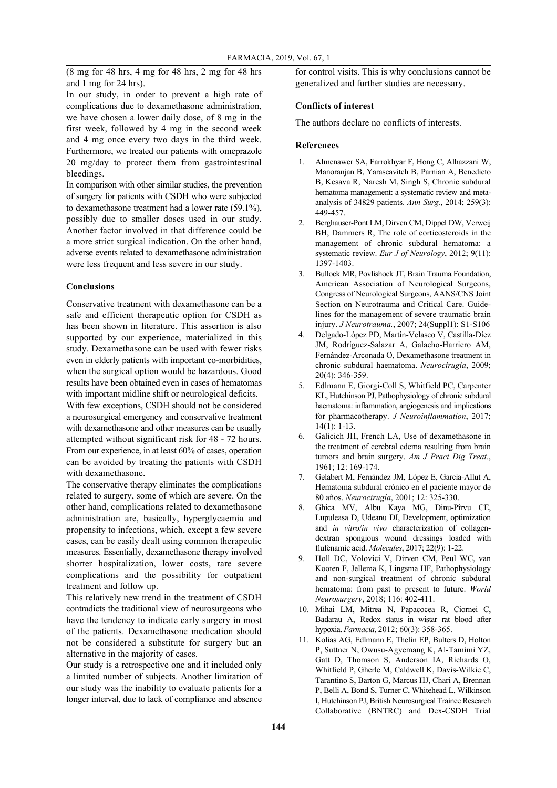(8 mg for 48 hrs, 4 mg for 48 hrs, 2 mg for 48 hrs and 1 mg for 24 hrs).

# In our study, in order to prevent a high rate of complications due to dexamethasone administration, we have chosen a lower daily dose, of 8 mg in the first week, followed by 4 mg in the second week and 4 mg once every two days in the third week. Furthermore, we treated our patients with omeprazole 20 mg/day to protect them from gastrointestinal bleedings.

In comparison with other similar studies, the prevention of surgery for patients with CSDH who were subjected to dexamethasone treatment had a lower rate (59.1%), possibly due to smaller doses used in our study. Another factor involved in that difference could be a more strict surgical indication. On the other hand, adverse events related to dexamethasone administration were less frequent and less severe in our study.

#### **Conclusions**

Conservative treatment with dexamethasone can be a safe and efficient therapeutic option for CSDH as has been shown in literature. This assertion is also supported by our experience, materialized in this study. Dexamethasone can be used with fewer risks even in elderly patients with important co-morbidities, when the surgical option would be hazardous. Good results have been obtained even in cases of hematomas with important midline shift or neurological deficits.

With few exceptions, CSDH should not be considered a neurosurgical emergency and conservative treatment with dexamethasone and other measures can be usually attempted without significant risk for 48 - 72 hours. From our experience, in at least 60% of cases, operation can be avoided by treating the patients with CSDH with dexamethasone.

The conservative therapy eliminates the complications related to surgery, some of which are severe. On the other hand, complications related to dexamethasone administration are, basically, hyperglycaemia and propensity to infections, which, except a few severe cases, can be easily dealt using common therapeutic measures. Essentially, dexamethasone therapy involved shorter hospitalization, lower costs, rare severe complications and the possibility for outpatient treatment and follow up.

This relatively new trend in the treatment of CSDH contradicts the traditional view of neurosurgeons who have the tendency to indicate early surgery in most of the patients. Dexamethasone medication should not be considered a substitute for surgery but an alternative in the majority of cases.

Our study is a retrospective one and it included only a limited number of subjects. Another limitation of our study was the inability to evaluate patients for a longer interval, due to lack of compliance and absence

for control visits. This is why conclusions cannot be generalized and further studies are necessary.

#### **Conflicts of interest**

The authors declare no conflicts of interests.

#### **References**

- 1. Almenawer SA, Farrokhyar F, Hong C, Alhazzani W, Manoranjan B, Yarascavitch B, Parnian A, Benedicto B, Kesava R, Naresh M, Singh S, Chronic subdural hematoma management: a systematic review and metaanalysis of 34829 patients. *Ann Surg.*, 2014; 259(3): 449-457.
- 2. Berghauser-Pont LM, Dirven CM, Dippel DW, Verweij BH, Dammers R, The role of corticosteroids in the management of chronic subdural hematoma: a systematic review. *Eur J of Neurology*, 2012; 9(11): 1397-1403.
- 3. Bullock MR, Povlishock JT, Brain Trauma Foundation, American Association of Neurological Surgeons, Congress of Neurological Surgeons, AANS/CNS Joint Section on Neurotrauma and Critical Care. Guidelines for the management of severe traumatic brain injury. *J Neurotrauma.*, 2007; 24(Suppl1): S1-S106
- 4. Delgado-López PD, Martin-Velasco V, Castilla-Díez JM, Rodríguez-Salazar A, Galacho-Harriero AM, Fernández-Arconada O, Dexamethasone treatment in chronic subdural haematoma. *Neurocirugia*, 2009; 20(4): 346-359.
- 5. Edlmann E, Giorgi-Coll S, Whitfield PC, Carpenter KL, Hutchinson PJ, Pathophysiology of chronic subdural haematoma: inflammation, angiogenesis and implications for pharmacotherapy. *J Neuroinflammation*, 2017;  $14(1): 1-13.$
- 6. Galicich JH, French LA, Use of dexamethasone in the treatment of cerebral edema resulting from brain tumors and brain surgery. *Am J Pract Dig Treat.*, 1961; 12: 169-174.
- 7. Gelabert M, Fernández JM, López E, García-Allut A, Hematoma subdural crónico en el paciente mayor de 80 años. *Neurocirugía*, 2001; 12: 325-330.
- 8. Ghica MV, Albu Kaya MG, Dinu-Pîrvu CE, Lupuleasa D, Udeanu DI, Development, optimization and *in vitro*/*in vivo* characterization of collagendextran spongious wound dressings loaded with flufenamic acid. *Molecules*, 2017; 22(9): 1-22.
- 9. Holl DC, Volovici V, Dirven CM, Peul WC, van Kooten F, Jellema K, Lingsma HF, Pathophysiology and non-surgical treatment of chronic subdural hematoma: from past to present to future. *World Neurosurgery*, 2018; 116: 402-411.
- 10. Mihai LM, Mitrea N, Papacocea R, Ciornei C, Badarau A, Redox status in wistar rat blood after hypoxia. *Farmacia*, 2012; 60(3): 358-365.
- 11. Kolias AG, Edlmann E, Thelin EP, Bulters D, Holton P, Suttner N, Owusu-Agyemang K, Al-Tamimi YZ, Gatt D, Thomson S, Anderson IA, Richards O, Whitfield P, Gherle M, Caldwell K, Davis-Wilkie C, Tarantino S, Barton G, Marcus HJ, Chari A, Brennan P, Belli A, Bond S, Turner C, Whitehead L, Wilkinson I, Hutchinson PJ, British Neurosurgical Trainee Research Collaborative (BNTRC) and Dex-CSDH Trial